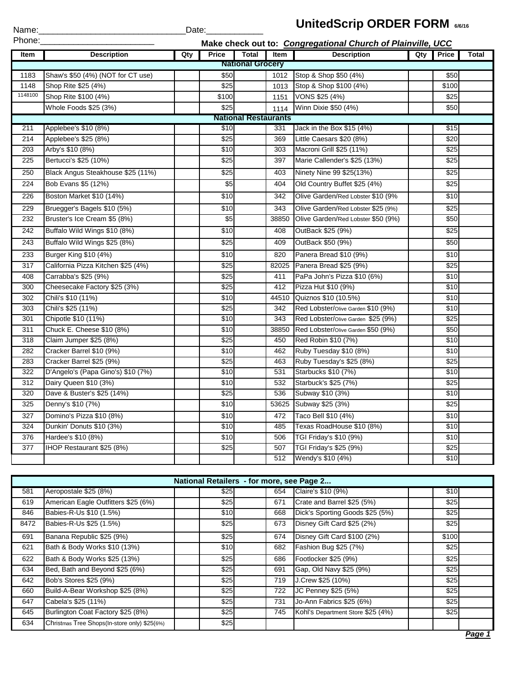| Name:   |                                    | Date: |                  |                             |       |                                                             |     |              |              |
|---------|------------------------------------|-------|------------------|-----------------------------|-------|-------------------------------------------------------------|-----|--------------|--------------|
| Phone:  |                                    |       |                  |                             |       | Make check out to: Congregational Church of Plainville, UCC |     |              |              |
| Item    | <b>Description</b>                 | Qty   | <b>Price</b>     | <b>Total</b>                | Item  | <b>Description</b>                                          | Qty | <b>Price</b> | <b>Total</b> |
|         |                                    |       |                  | <b>National Grocery</b>     |       |                                                             |     |              |              |
| 1183    | Shaw's \$50 (4%) (NOT for CT use)  |       | \$50             |                             | 1012  | Stop & Shop \$50 (4%)                                       |     | \$50         |              |
| 1148    | Shop Rite \$25 (4%)                |       | \$25             |                             | 1013  | Stop & Shop \$100 (4%)                                      |     | \$100        |              |
| 1148100 | Shop Rite \$100 (4%)               |       | \$100            |                             | 1151  | VONS \$25 (4%)                                              |     | \$25         |              |
|         | Whole Foods \$25 (3%)              |       | \$25             |                             | 1114  | Winn Dixie \$50 (4%)                                        |     | \$50         |              |
|         |                                    |       |                  | <b>National Restaurants</b> |       |                                                             |     |              |              |
| 211     | Applebee's \$10 (8%)               |       | \$10             |                             | 331   | Jack in the Box \$15 (4%)                                   |     | \$15         |              |
| 214     | Applebee's \$25 (8%)               |       | $\overline{$25}$ |                             | 369   | Little Caesars \$20 (8%)                                    |     | \$20         |              |
| 203     | Arby's \$10 (8%)                   |       | \$10             |                             | 303   | Macroni Grill \$25 (11%)                                    |     | \$25         |              |
| 225     | Bertucci's \$25 (10%)              |       | \$25             |                             | 397   | Marie Callender's \$25 (13%)                                |     | \$25         |              |
| 250     | Black Angus Steakhouse \$25 (11%)  |       | \$25             |                             | 403   | Ninety Nine 99 \$25(13%)                                    |     | \$25         |              |
| 224     | Bob Evans \$5 (12%)                |       | $\overline{$}5$  |                             | 404   | Old Country Buffet \$25 (4%)                                |     | \$25         |              |
| 226     | Boston Market \$10 (14%)           |       | \$10             |                             | 342   | Olive Garden/Red Lobster \$10 (9%                           |     | \$10         |              |
| 229     | Bruegger's Bagels \$10 (5%)        |       | \$10             |                             | 343   | Olive Garden/Red Lobster \$25 (9%)                          |     | \$25         |              |
| 232     | Bruster's Ice Cream \$5 (8%)       |       | \$5              |                             | 38850 | Olive Garden/Red Lobster \$50 (9%)                          |     | \$50         |              |
| 242     | Buffalo Wild Wings \$10 (8%)       |       | \$10             |                             | 408   | OutBack \$25 (9%)                                           |     | \$25         |              |
| 243     | Buffalo Wild Wings \$25 (8%)       |       | \$25             |                             | 409   | OutBack \$50 (9%)                                           |     | \$50         |              |
| 233     | Burger King \$10 (4%)              |       | \$10             |                             | 820   | Panera Bread \$10 (9%)                                      |     | \$10         |              |
| 317     | California Pizza Kitchen \$25 (4%) |       | \$25             |                             | 82025 | Panera Bread \$25 (9%)                                      |     | \$25         |              |
| 408     | Carrabba's \$25 (9%)               |       | \$25             |                             | 411   | PaPa John's Pizza \$10 (6%)                                 |     | \$10         |              |
| 300     | Cheesecake Factory \$25 (3%)       |       | \$25             |                             | 412   | Pizza Hut \$10 (9%)                                         |     | \$10         |              |
| 302     | Chili's \$10 (11%)                 |       | \$10             |                             | 44510 | Quiznos \$10 (10.5%)                                        |     | \$10         |              |
| 303     | Chili's \$25 (11%)                 |       | \$25             |                             | 342   | Red Lobster/Olive Garden \$10 (9%)                          |     | \$10         |              |
| 301     | Chipotle \$10 (11%)                |       | \$10             |                             | 343   | Red Lobster/Olive Garden \$25 (9%)                          |     | \$25         |              |
| 311     | Chuck E. Cheese \$10 (8%)          |       | \$10             |                             | 38850 | Red Lobster/Olive Garden \$50 (9%)                          |     | \$50         |              |
| 318     | Claim Jumper \$25 (8%)             |       | \$25             |                             | 450   | Red Robin \$10 (7%)                                         |     | \$10         |              |
| 282     | Cracker Barrel \$10 (9%)           |       | \$10             |                             | 462   | Ruby Tuesday \$10 (8%)                                      |     | \$10         |              |
| 283     | Cracker Barrel \$25 (9%)           |       | \$25             |                             | 463   | Ruby Tuesday's \$25 (8%)                                    |     | \$25         |              |
| 322     | D'Angelo's (Papa Gino's) \$10 (7%) |       | \$10             |                             | 531   | Starbucks \$10 (7%)                                         |     | \$10         |              |
| 312     | Dairy Queen \$10 (3%)              |       | \$10             |                             | 532   | Starbuck's \$25 (7%)                                        |     | \$25         |              |
| 320     | Dave & Buster's \$25 (14%)         |       | \$25             |                             | 536   | Subway \$10 (3%)                                            |     | \$10         |              |
| 325     | Denny's \$10 (7%)                  |       | \$10             |                             | 53625 | Subway \$25 (3%)                                            |     | \$25         |              |
| 327     | Domino's Pizza \$10 (8%)           |       | \$10             |                             | 472   | Taco Bell \$10 (4%)                                         |     | \$10         |              |
| 324     | Dunkin' Donuts \$10 (3%)           |       | \$10             |                             | 485   | Texas RoadHouse \$10 (8%)                                   |     | \$10         |              |
| 376     | Hardee's \$10 (8%)                 |       | $\sqrt{$10}$     |                             | 506   | TGI Friday's \$10 (9%)                                      |     | \$10         |              |
| 377     | IHOP Restaurant \$25 (8%)          |       | \$25             |                             | 507   | TGI Friday's \$25 (9%)                                      |     | \$25         |              |
|         |                                    |       |                  |                             | 512   | Wendy's \$10 (4%)                                           |     | \$10         |              |

|      |                                              | National Retailers - for more, see Page 2 |     |                                   |       |  |
|------|----------------------------------------------|-------------------------------------------|-----|-----------------------------------|-------|--|
| 581  | Aeropostale \$25 (8%)                        | \$25                                      | 654 | Claire's \$10 (9%)                | \$10  |  |
| 619  | American Eagle Outfitters \$25 (6%)          | \$25                                      | 671 | Crate and Barrel \$25 (5%)        | \$25  |  |
| 846  | Babies-R-Us \$10 (1.5%)                      | \$10                                      | 668 | Dick's Sporting Goods \$25 (5%)   | \$25  |  |
| 8472 | Babies-R-Us \$25 (1.5%)                      | \$25                                      | 673 | Disney Gift Card \$25 (2%)        | \$25  |  |
| 691  | Banana Republic \$25 (9%)                    | \$25                                      | 674 | Disney Gift Card \$100 (2%)       | \$100 |  |
| 621  | Bath & Body Works \$10 (13%)                 | \$10                                      | 682 | Fashion Bug \$25 (7%)             | \$25  |  |
| 622  | Bath & Body Works \$25 (13%)                 | \$25                                      | 686 | Footlocker \$25 (9%)              | \$25  |  |
| 634  | Bed, Bath and Beyond \$25 (6%)               | \$25                                      | 691 | Gap, Old Navy \$25 (9%)           | \$25  |  |
| 642  | Bob's Stores \$25 (9%)                       | \$25                                      | 719 | J.Crew \$25 (10%)                 | \$25  |  |
| 660  | Build-A-Bear Workshop \$25 (8%)              | \$25                                      | 722 | JC Penney \$25 (5%)               | \$25  |  |
| 647  | Cabela's \$25 (11%)                          | \$25                                      | 731 | Jo-Ann Fabrics \$25 (6%)          | \$25  |  |
| 645  | Burlington Coat Factory \$25 (8%)            | \$25                                      | 745 | Kohl's Department Store \$25 (4%) | \$25  |  |
| 634  | Christmas Tree Shops(In-store only) \$25(6%) | \$25                                      |     |                                   |       |  |

## **UnitedScrip ORDER FORM**  $_{6/6/16}$